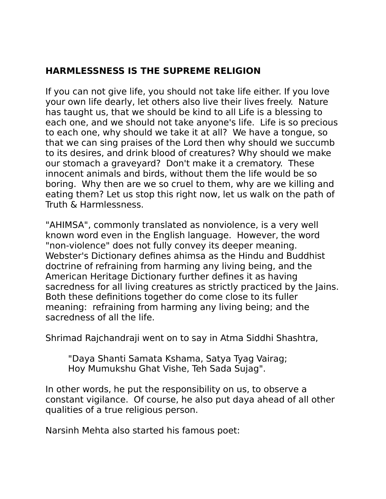# **HARMLESSNESS IS THE SUPREME RELIGION**

If you can not give life, you should not take life either. If you love your own life dearly, let others also live their lives freely. Nature has taught us, that we should be kind to all Life is a blessing to each one, and we should not take anyone's life. Life is so precious to each one, why should we take it at all? We have a tongue, so that we can sing praises of the Lord then why should we succumb to its desires, and drink blood of creatures? Why should we make our stomach a graveyard? Don't make it a crematory. These innocent animals and birds, without them the life would be so boring. Why then are we so cruel to them, why are we killing and eating them? Let us stop this right now, let us walk on the path of Truth & Harmlessness.

"AHIMSA", commonly translated as nonviolence, is a very well known word even in the English language. However, the word "non-violence" does not fully convey its deeper meaning. Webster's Dictionary defines ahimsa as the Hindu and Buddhist doctrine of refraining from harming any living being, and the American Heritage Dictionary further defines it as having sacredness for all living creatures as strictly practiced by the Jains. Both these definitions together do come close to its fuller meaning: refraining from harming any living being; and the sacredness of all the life.

Shrimad Rajchandraji went on to say in Atma Siddhi Shashtra,

"Daya Shanti Samata Kshama, Satya Tyag Vairag; Hoy Mumukshu Ghat Vishe, Teh Sada Sujag".

In other words, he put the responsibility on us, to observe a constant vigilance. Of course, he also put daya ahead of all other qualities of a true religious person.

Narsinh Mehta also started his famous poet: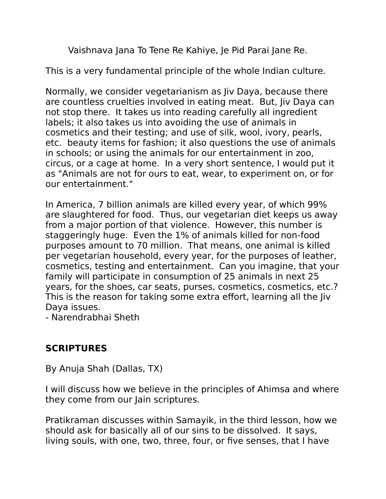Vaishnava Jana To Tene Re Kahiye, Je Pid Parai Jane Re.

This is a very fundamental principle of the whole Indian culture.

Normally, we consider vegetarianism as Jiv Daya, because there are countless cruelties involved in eating meat. But, Jiv Daya can not stop there. It takes us into reading carefully all ingredient labels; it also takes us into avoiding the use of animals in cosmetics and their testing; and use of silk, wool, ivory, pearls, etc. beauty items for fashion; it also questions the use of animals in schools; or using the animals for our entertainment in zoo, circus, or a cage at home. In a very short sentence, I would put it as "Animals are not for ours to eat, wear, to experiment on, or for our entertainment."

In America, 7 billion animals are killed every year, of which 99% are slaughtered for food. Thus, our vegetarian diet keeps us away from a major portion of that violence. However, this number is staggeringly huge. Even the 1% of animals killed for non-food purposes amount to 70 million. That means, one animal is killed per vegetarian household, every year, for the purposes of leather, cosmetics, testing and entertainment. Can you imagine, that your family will participate in consumption of 25 animals in next 25 years, for the shoes, car seats, purses, cosmetics, cosmetics, etc.? This is the reason for taking some extra effort, learning all the Jiv Daya issues.

- Narendrabhai Sheth

# **SCRIPTURES**

By Anuja Shah (Dallas, TX)

I will discuss how we believe in the principles of Ahimsa and where they come from our Jain scriptures.

Pratikraman discusses within Samayik, in the third lesson, how we should ask for basically all of our sins to be dissolved. It says, living souls, with one, two, three, four, or five senses, that I have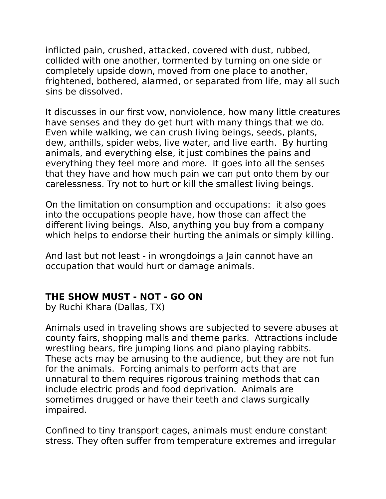inflicted pain, crushed, attacked, covered with dust, rubbed, collided with one another, tormented by turning on one side or completely upside down, moved from one place to another, frightened, bothered, alarmed, or separated from life, may all such sins be dissolved.

It discusses in our first vow, nonviolence, how many little creatures have senses and they do get hurt with many things that we do. Even while walking, we can crush living beings, seeds, plants, dew, anthills, spider webs, live water, and live earth. By hurting animals, and everything else, it just combines the pains and everything they feel more and more. It goes into all the senses that they have and how much pain we can put onto them by our carelessness. Try not to hurt or kill the smallest living beings.

On the limitation on consumption and occupations: it also goes into the occupations people have, how those can affect the different living beings. Also, anything you buy from a company which helps to endorse their hurting the animals or simply killing.

And last but not least - in wrongdoings a Jain cannot have an occupation that would hurt or damage animals.

## **THE SHOW MUST - NOT - GO ON**

by Ruchi Khara (Dallas, TX)

Animals used in traveling shows are subjected to severe abuses at county fairs, shopping malls and theme parks. Attractions include wrestling bears, fire jumping lions and piano playing rabbits. These acts may be amusing to the audience, but they are not fun for the animals. Forcing animals to perform acts that are unnatural to them requires rigorous training methods that can include electric prods and food deprivation. Animals are sometimes drugged or have their teeth and claws surgically impaired.

Confined to tiny transport cages, animals must endure constant stress. They often suffer from temperature extremes and irregular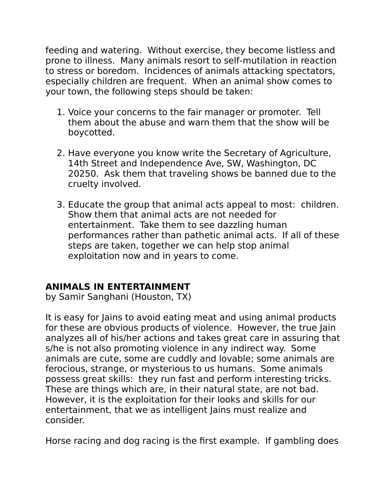feeding and watering. Without exercise, they become listless and prone to illness. Many animals resort to self-mutilation in reaction to stress or boredom. Incidences of animals attacking spectators, especially children are frequent. When an animal show comes to your town, the following steps should be taken:

- 1. Voice your concerns to the fair manager or promoter. Tell them about the abuse and warn them that the show will be boycotted.
- 2. Have everyone you know write the Secretary of Agriculture, 14th Street and Independence Ave, SW, Washington, DC 20250. Ask them that traveling shows be banned due to the cruelty involved.
- 3. Educate the group that animal acts appeal to most: children. Show them that animal acts are not needed for entertainment. Take them to see dazzling human performances rather than pathetic animal acts. If all of these steps are taken, together we can help stop animal exploitation now and in years to come.

## **ANIMALS IN ENTERTAINMENT**

by Samir Sanghani (Houston, TX)

It is easy for Jains to avoid eating meat and using animal products for these are obvious products of violence. However, the true Jain analyzes all of his/her actions and takes great care in assuring that s/he is not also promoting violence in any indirect way. Some animals are cute, some are cuddly and lovable; some animals are ferocious, strange, or mysterious to us humans. Some animals possess great skills: they run fast and perform interesting tricks. These are things which are, in their natural state, are not bad. However, it is the exploitation for their looks and skills for our entertainment, that we as intelligent Jains must realize and consider.

Horse racing and dog racing is the first example. If gambling does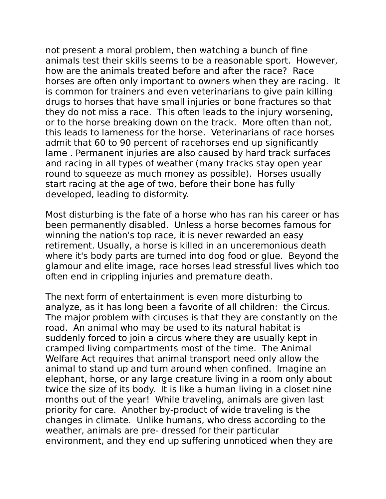not present a moral problem, then watching a bunch of fine animals test their skills seems to be a reasonable sport. However, how are the animals treated before and after the race? Race horses are often only important to owners when they are racing. It is common for trainers and even veterinarians to give pain killing drugs to horses that have small injuries or bone fractures so that they do not miss a race. This often leads to the injury worsening, or to the horse breaking down on the track. More often than not, this leads to lameness for the horse. Veterinarians of race horses admit that 60 to 90 percent of racehorses end up significantly lame . Permanent injuries are also caused by hard track surfaces and racing in all types of weather (many tracks stay open year round to squeeze as much money as possible). Horses usually start racing at the age of two, before their bone has fully developed, leading to disformity.

Most disturbing is the fate of a horse who has ran his career or has been permanently disabled. Unless a horse becomes famous for winning the nation's top race, it is never rewarded an easy retirement. Usually, a horse is killed in an unceremonious death where it's body parts are turned into dog food or glue. Beyond the glamour and elite image, race horses lead stressful lives which too often end in crippling injuries and premature death.

The next form of entertainment is even more disturbing to analyze, as it has long been a favorite of all children: the Circus. The major problem with circuses is that they are constantly on the road. An animal who may be used to its natural habitat is suddenly forced to join a circus where they are usually kept in cramped living compartments most of the time. The Animal Welfare Act requires that animal transport need only allow the animal to stand up and turn around when confined. Imagine an elephant, horse, or any large creature living in a room only about twice the size of its body. It is like a human living in a closet nine months out of the year! While traveling, animals are given last priority for care. Another by-product of wide traveling is the changes in climate. Unlike humans, who dress according to the weather, animals are pre- dressed for their particular environment, and they end up suffering unnoticed when they are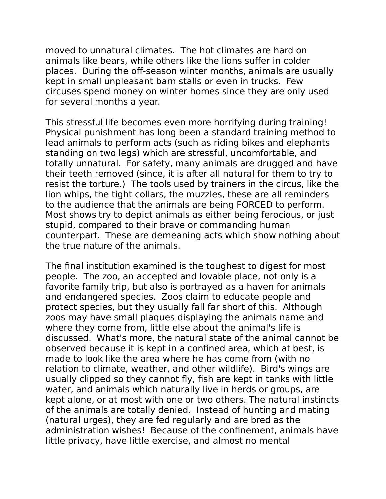moved to unnatural climates. The hot climates are hard on animals like bears, while others like the lions suffer in colder places. During the off-season winter months, animals are usually kept in small unpleasant barn stalls or even in trucks. Few circuses spend money on winter homes since they are only used for several months a year.

This stressful life becomes even more horrifying during training! Physical punishment has long been a standard training method to lead animals to perform acts (such as riding bikes and elephants standing on two legs) which are stressful, uncomfortable, and totally unnatural. For safety, many animals are drugged and have their teeth removed (since, it is after all natural for them to try to resist the torture.) The tools used by trainers in the circus, like the lion whips, the tight collars, the muzzles, these are all reminders to the audience that the animals are being FORCED to perform. Most shows try to depict animals as either being ferocious, or just stupid, compared to their brave or commanding human counterpart. These are demeaning acts which show nothing about the true nature of the animals.

The final institution examined is the toughest to digest for most people. The zoo, an accepted and lovable place, not only is a favorite family trip, but also is portrayed as a haven for animals and endangered species. Zoos claim to educate people and protect species, but they usually fall far short of this. Although zoos may have small plaques displaying the animals name and where they come from, little else about the animal's life is discussed. What's more, the natural state of the animal cannot be observed because it is kept in a confined area, which at best, is made to look like the area where he has come from (with no relation to climate, weather, and other wildlife). Bird's wings are usually clipped so they cannot fly, fish are kept in tanks with little water, and animals which naturally live in herds or groups, are kept alone, or at most with one or two others. The natural instincts of the animals are totally denied. Instead of hunting and mating (natural urges), they are fed regularly and are bred as the administration wishes! Because of the confinement, animals have little privacy, have little exercise, and almost no mental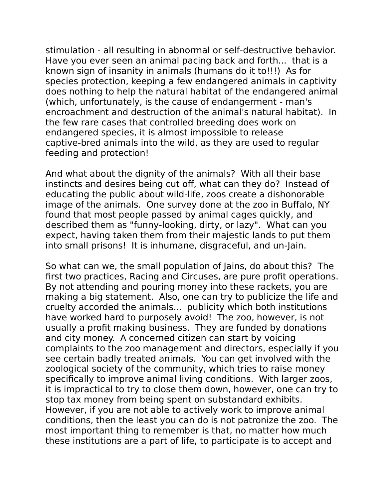stimulation - all resulting in abnormal or self-destructive behavior. Have you ever seen an animal pacing back and forth... that is a known sign of insanity in animals (humans do it to!!!) As for species protection, keeping a few endangered animals in captivity does nothing to help the natural habitat of the endangered animal (which, unfortunately, is the cause of endangerment - man's encroachment and destruction of the animal's natural habitat). In the few rare cases that controlled breeding does work on endangered species, it is almost impossible to release captive-bred animals into the wild, as they are used to regular feeding and protection!

And what about the dignity of the animals? With all their base instincts and desires being cut off, what can they do? Instead of educating the public about wild-life, zoos create a dishonorable image of the animals. One survey done at the zoo in Buffalo, NY found that most people passed by animal cages quickly, and described them as "funny-looking, dirty, or lazy". What can you expect, having taken them from their majestic lands to put them into small prisons! It is inhumane, disgraceful, and un-Jain.

So what can we, the small population of Jains, do about this? The first two practices, Racing and Circuses, are pure profit operations. By not attending and pouring money into these rackets, you are making a big statement. Also, one can try to publicize the life and cruelty accorded the animals... publicity which both institutions have worked hard to purposely avoid! The zoo, however, is not usually a profit making business. They are funded by donations and city money. A concerned citizen can start by voicing complaints to the zoo management and directors, especially if you see certain badly treated animals. You can get involved with the zoological society of the community, which tries to raise money specifically to improve animal living conditions. With larger zoos, it is impractical to try to close them down, however, one can try to stop tax money from being spent on substandard exhibits. However, if you are not able to actively work to improve animal conditions, then the least you can do is not patronize the zoo. The most important thing to remember is that, no matter how much these institutions are a part of life, to participate is to accept and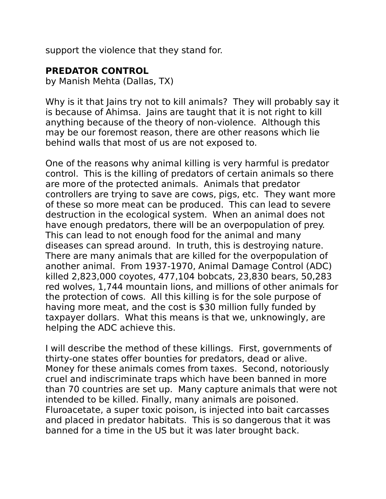support the violence that they stand for.

## **PREDATOR CONTROL**

by Manish Mehta (Dallas, TX)

Why is it that Jains try not to kill animals? They will probably say it is because of Ahimsa. Jains are taught that it is not right to kill anything because of the theory of non-violence. Although this may be our foremost reason, there are other reasons which lie behind walls that most of us are not exposed to.

One of the reasons why animal killing is very harmful is predator control. This is the killing of predators of certain animals so there are more of the protected animals. Animals that predator controllers are trying to save are cows, pigs, etc. They want more of these so more meat can be produced. This can lead to severe destruction in the ecological system. When an animal does not have enough predators, there will be an overpopulation of prey. This can lead to not enough food for the animal and many diseases can spread around. In truth, this is destroying nature. There are many animals that are killed for the overpopulation of another animal. From 1937-1970, Animal Damage Control (ADC) killed 2,823,000 coyotes, 477,104 bobcats, 23,830 bears, 50,283 red wolves, 1,744 mountain lions, and millions of other animals for the protection of cows. All this killing is for the sole purpose of having more meat, and the cost is \$30 million fully funded by taxpayer dollars. What this means is that we, unknowingly, are helping the ADC achieve this.

I will describe the method of these killings. First, governments of thirty-one states offer bounties for predators, dead or alive. Money for these animals comes from taxes. Second, notoriously cruel and indiscriminate traps which have been banned in more than 70 countries are set up. Many capture animals that were not intended to be killed. Finally, many animals are poisoned. Fluroacetate, a super toxic poison, is injected into bait carcasses and placed in predator habitats. This is so dangerous that it was banned for a time in the US but it was later brought back.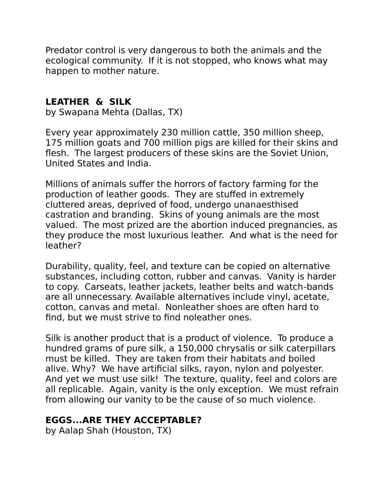Predator control is very dangerous to both the animals and the ecological community. If it is not stopped, who knows what may happen to mother nature.

## **LEATHER & SILK**

by Swapana Mehta (Dallas, TX)

Every year approximately 230 million cattle, 350 million sheep, 175 million goats and 700 million pigs are killed for their skins and flesh. The largest producers of these skins are the Soviet Union, United States and India.

Millions of animals suffer the horrors of factory farming for the production of leather goods. They are stuffed in extremely cluttered areas, deprived of food, undergo unanaesthised castration and branding. Skins of young animals are the most valued. The most prized are the abortion induced pregnancies, as they produce the most luxurious leather. And what is the need for leather?

Durability, quality, feel, and texture can be copied on alternative substances, including cotton, rubber and canvas. Vanity is harder to copy. Carseats, leather jackets, leather belts and watch-bands are all unnecessary. Available alternatives include vinyl, acetate, cotton, canvas and metal. Nonleather shoes are often hard to find, but we must strive to find noleather ones.

Silk is another product that is a product of violence. To produce a hundred grams of pure silk, a 150,000 chrysalis or silk caterpillars must be killed. They are taken from their habitats and boiled alive. Why? We have artificial silks, rayon, nylon and polyester. And yet we must use silk! The texture, quality, feel and colors are all replicable. Again, vanity is the only exception. We must refrain from allowing our vanity to be the cause of so much violence.

## **EGGS...ARE THEY ACCEPTABLE?**

by Aalap Shah (Houston, TX)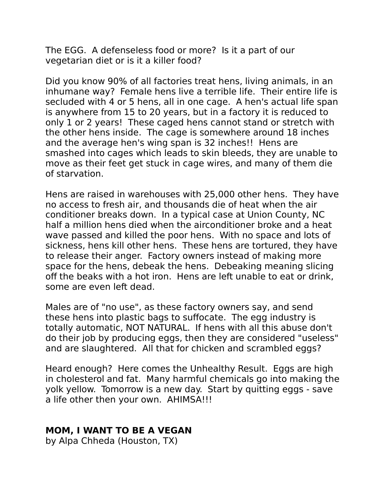The EGG. A defenseless food or more? Is it a part of our vegetarian diet or is it a killer food?

Did you know 90% of all factories treat hens, living animals, in an inhumane way? Female hens live a terrible life. Their entire life is secluded with 4 or 5 hens, all in one cage. A hen's actual life span is anywhere from 15 to 20 years, but in a factory it is reduced to only 1 or 2 years! These caged hens cannot stand or stretch with the other hens inside. The cage is somewhere around 18 inches and the average hen's wing span is 32 inches!! Hens are smashed into cages which leads to skin bleeds, they are unable to move as their feet get stuck in cage wires, and many of them die of starvation.

Hens are raised in warehouses with 25,000 other hens. They have no access to fresh air, and thousands die of heat when the air conditioner breaks down. In a typical case at Union County, NC half a million hens died when the airconditioner broke and a heat wave passed and killed the poor hens. With no space and lots of sickness, hens kill other hens. These hens are tortured, they have to release their anger. Factory owners instead of making more space for the hens, debeak the hens. Debeaking meaning slicing off the beaks with a hot iron. Hens are left unable to eat or drink, some are even left dead.

Males are of "no use", as these factory owners say, and send these hens into plastic bags to suffocate. The egg industry is totally automatic, NOT NATURAL. If hens with all this abuse don't do their job by producing eggs, then they are considered "useless" and are slaughtered. All that for chicken and scrambled eggs?

Heard enough? Here comes the Unhealthy Result. Eggs are high in cholesterol and fat. Many harmful chemicals go into making the yolk yellow. Tomorrow is a new day. Start by quitting eggs - save a life other then your own. AHIMSA!!!

#### **MOM, I WANT TO BE A VEGAN**

by Alpa Chheda (Houston, TX)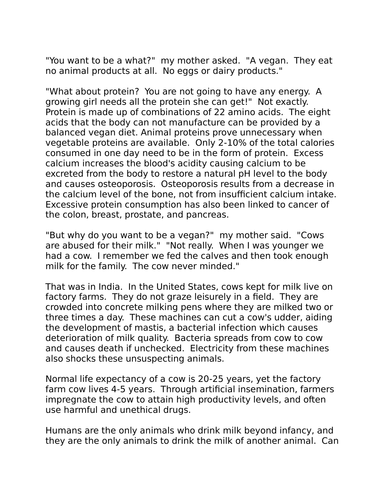"You want to be a what?" my mother asked. "A vegan. They eat no animal products at all. No eggs or dairy products."

"What about protein? You are not going to have any energy. A growing girl needs all the protein she can get!" Not exactly. Protein is made up of combinations of 22 amino acids. The eight acids that the body can not manufacture can be provided by a balanced vegan diet. Animal proteins prove unnecessary when vegetable proteins are available. Only 2-10% of the total calories consumed in one day need to be in the form of protein. Excess calcium increases the blood's acidity causing calcium to be excreted from the body to restore a natural pH level to the body and causes osteoporosis. Osteoporosis results from a decrease in the calcium level of the bone, not from insufficient calcium intake. Excessive protein consumption has also been linked to cancer of the colon, breast, prostate, and pancreas.

"But why do you want to be a vegan?" my mother said. "Cows are abused for their milk." "Not really. When I was younger we had a cow. I remember we fed the calves and then took enough milk for the family. The cow never minded."

That was in India. In the United States, cows kept for milk live on factory farms. They do not graze leisurely in a field. They are crowded into concrete milking pens where they are milked two or three times a day. These machines can cut a cow's udder, aiding the development of mastis, a bacterial infection which causes deterioration of milk quality. Bacteria spreads from cow to cow and causes death if unchecked. Electricity from these machines also shocks these unsuspecting animals.

Normal life expectancy of a cow is 20-25 years, yet the factory farm cow lives 4-5 years. Through artificial insemination, farmers impregnate the cow to attain high productivity levels, and often use harmful and unethical drugs.

Humans are the only animals who drink milk beyond infancy, and they are the only animals to drink the milk of another animal. Can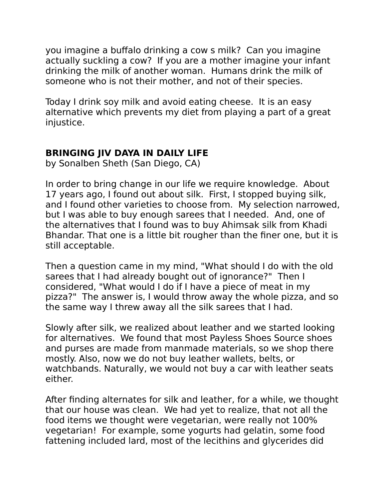you imagine a buffalo drinking a cow s milk? Can you imagine actually suckling a cow? If you are a mother imagine your infant drinking the milk of another woman. Humans drink the milk of someone who is not their mother, and not of their species.

Today I drink soy milk and avoid eating cheese. It is an easy alternative which prevents my diet from playing a part of a great injustice.

# **BRINGING JIV DAYA IN DAILY LIFE**

by Sonalben Sheth (San Diego, CA)

In order to bring change in our life we require knowledge. About 17 years ago, I found out about silk. First, I stopped buying silk, and I found other varieties to choose from. My selection narrowed, but I was able to buy enough sarees that I needed. And, one of the alternatives that I found was to buy Ahimsak silk from Khadi Bhandar. That one is a little bit rougher than the finer one, but it is still acceptable.

Then a question came in my mind, "What should I do with the old sarees that I had already bought out of ignorance?" Then I considered, "What would I do if I have a piece of meat in my pizza?" The answer is, I would throw away the whole pizza, and so the same way I threw away all the silk sarees that I had.

Slowly after silk, we realized about leather and we started looking for alternatives. We found that most Payless Shoes Source shoes and purses are made from manmade materials, so we shop there mostly. Also, now we do not buy leather wallets, belts, or watchbands. Naturally, we would not buy a car with leather seats either.

After finding alternates for silk and leather, for a while, we thought that our house was clean. We had yet to realize, that not all the food items we thought were vegetarian, were really not 100% vegetarian! For example, some yogurts had gelatin, some food fattening included lard, most of the lecithins and glycerides did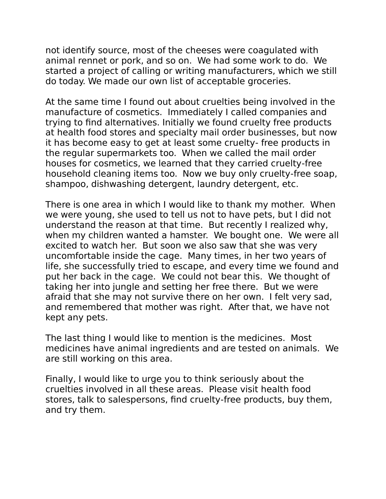not identify source, most of the cheeses were coagulated with animal rennet or pork, and so on. We had some work to do. We started a project of calling or writing manufacturers, which we still do today. We made our own list of acceptable groceries.

At the same time I found out about cruelties being involved in the manufacture of cosmetics. Immediately I called companies and trying to find alternatives. Initially we found cruelty free products at health food stores and specialty mail order businesses, but now it has become easy to get at least some cruelty- free products in the regular supermarkets too. When we called the mail order houses for cosmetics, we learned that they carried cruelty-free household cleaning items too. Now we buy only cruelty-free soap, shampoo, dishwashing detergent, laundry detergent, etc.

There is one area in which I would like to thank my mother. When we were young, she used to tell us not to have pets, but I did not understand the reason at that time. But recently I realized why, when my children wanted a hamster. We bought one. We were all excited to watch her. But soon we also saw that she was very uncomfortable inside the cage. Many times, in her two years of life, she successfully tried to escape, and every time we found and put her back in the cage. We could not bear this. We thought of taking her into jungle and setting her free there. But we were afraid that she may not survive there on her own. I felt very sad, and remembered that mother was right. After that, we have not kept any pets.

The last thing I would like to mention is the medicines. Most medicines have animal ingredients and are tested on animals. We are still working on this area.

Finally, I would like to urge you to think seriously about the cruelties involved in all these areas. Please visit health food stores, talk to salespersons, find cruelty-free products, buy them, and try them.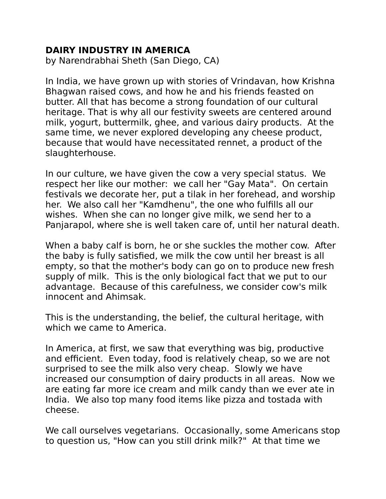## **DAIRY INDUSTRY IN AMERICA**

by Narendrabhai Sheth (San Diego, CA)

In India, we have grown up with stories of Vrindavan, how Krishna Bhagwan raised cows, and how he and his friends feasted on butter. All that has become a strong foundation of our cultural heritage. That is why all our festivity sweets are centered around milk, yogurt, buttermilk, ghee, and various dairy products. At the same time, we never explored developing any cheese product, because that would have necessitated rennet, a product of the slaughterhouse.

In our culture, we have given the cow a very special status. We respect her like our mother: we call her "Gay Mata". On certain festivals we decorate her, put a tilak in her forehead, and worship her. We also call her "Kamdhenu", the one who fulfills all our wishes. When she can no longer give milk, we send her to a Panjarapol, where she is well taken care of, until her natural death.

When a baby calf is born, he or she suckles the mother cow. After the baby is fully satisfied, we milk the cow until her breast is all empty, so that the mother's body can go on to produce new fresh supply of milk. This is the only biological fact that we put to our advantage. Because of this carefulness, we consider cow's milk innocent and Ahimsak.

This is the understanding, the belief, the cultural heritage, with which we came to America.

In America, at first, we saw that everything was big, productive and efficient. Even today, food is relatively cheap, so we are not surprised to see the milk also very cheap. Slowly we have increased our consumption of dairy products in all areas. Now we are eating far more ice cream and milk candy than we ever ate in India. We also top many food items like pizza and tostada with cheese.

We call ourselves vegetarians. Occasionally, some Americans stop to question us, "How can you still drink milk?" At that time we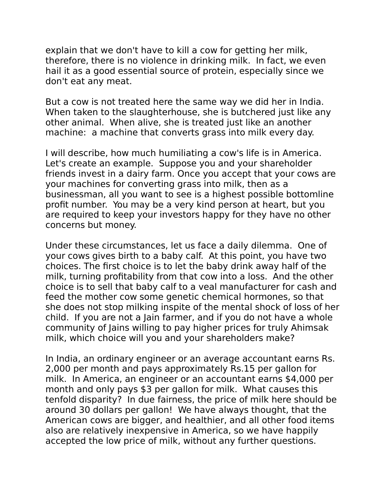explain that we don't have to kill a cow for getting her milk, therefore, there is no violence in drinking milk. In fact, we even hail it as a good essential source of protein, especially since we don't eat any meat.

But a cow is not treated here the same way we did her in India. When taken to the slaughterhouse, she is butchered just like any other animal. When alive, she is treated just like an another machine: a machine that converts grass into milk every day.

I will describe, how much humiliating a cow's life is in America. Let's create an example. Suppose you and your shareholder friends invest in a dairy farm. Once you accept that your cows are your machines for converting grass into milk, then as a businessman, all you want to see is a highest possible bottomline profit number. You may be a very kind person at heart, but you are required to keep your investors happy for they have no other concerns but money.

Under these circumstances, let us face a daily dilemma. One of your cows gives birth to a baby calf. At this point, you have two choices. The first choice is to let the baby drink away half of the milk, turning profitability from that cow into a loss. And the other choice is to sell that baby calf to a veal manufacturer for cash and feed the mother cow some genetic chemical hormones, so that she does not stop milking inspite of the mental shock of loss of her child. If you are not a Jain farmer, and if you do not have a whole community of Jains willing to pay higher prices for truly Ahimsak milk, which choice will you and your shareholders make?

In India, an ordinary engineer or an average accountant earns Rs. 2,000 per month and pays approximately Rs.15 per gallon for milk. In America, an engineer or an accountant earns \$4,000 per month and only pays \$3 per gallon for milk. What causes this tenfold disparity? In due fairness, the price of milk here should be around 30 dollars per gallon! We have always thought, that the American cows are bigger, and healthier, and all other food items also are relatively inexpensive in America, so we have happily accepted the low price of milk, without any further questions.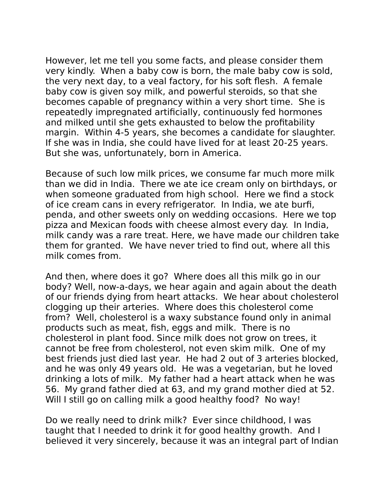However, let me tell you some facts, and please consider them very kindly. When a baby cow is born, the male baby cow is sold, the very next day, to a veal factory, for his soft flesh. A female baby cow is given soy milk, and powerful steroids, so that she becomes capable of pregnancy within a very short time. She is repeatedly impregnated artificially, continuously fed hormones and milked until she gets exhausted to below the profitability margin. Within 4-5 years, she becomes a candidate for slaughter. If she was in India, she could have lived for at least 20-25 years. But she was, unfortunately, born in America.

Because of such low milk prices, we consume far much more milk than we did in India. There we ate ice cream only on birthdays, or when someone graduated from high school. Here we find a stock of ice cream cans in every refrigerator. In India, we ate burfi, penda, and other sweets only on wedding occasions. Here we top pizza and Mexican foods with cheese almost every day. In India, milk candy was a rare treat. Here, we have made our children take them for granted. We have never tried to find out, where all this milk comes from.

And then, where does it go? Where does all this milk go in our body? Well, now-a-days, we hear again and again about the death of our friends dying from heart attacks. We hear about cholesterol clogging up their arteries. Where does this cholesterol come from? Well, cholesterol is a waxy substance found only in animal products such as meat, fish, eggs and milk. There is no cholesterol in plant food. Since milk does not grow on trees, it cannot be free from cholesterol, not even skim milk. One of my best friends just died last year. He had 2 out of 3 arteries blocked, and he was only 49 years old. He was a vegetarian, but he loved drinking a lots of milk. My father had a heart attack when he was 56. My grand father died at 63, and my grand mother died at 52. Will I still go on calling milk a good healthy food? No way!

Do we really need to drink milk? Ever since childhood, I was taught that I needed to drink it for good healthy growth. And I believed it very sincerely, because it was an integral part of Indian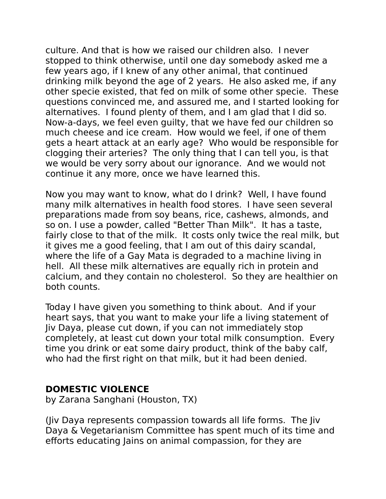culture. And that is how we raised our children also. I never stopped to think otherwise, until one day somebody asked me a few years ago, if I knew of any other animal, that continued drinking milk beyond the age of 2 years. He also asked me, if any other specie existed, that fed on milk of some other specie. These questions convinced me, and assured me, and I started looking for alternatives. I found plenty of them, and I am glad that I did so. Now-a-days, we feel even guilty, that we have fed our children so much cheese and ice cream. How would we feel, if one of them gets a heart attack at an early age? Who would be responsible for clogging their arteries? The only thing that I can tell you, is that we would be very sorry about our ignorance. And we would not continue it any more, once we have learned this.

Now you may want to know, what do I drink? Well, I have found many milk alternatives in health food stores. I have seen several preparations made from soy beans, rice, cashews, almonds, and so on. I use a powder, called "Better Than Milk". It has a taste, fairly close to that of the milk. It costs only twice the real milk, but it gives me a good feeling, that I am out of this dairy scandal, where the life of a Gay Mata is degraded to a machine living in hell. All these milk alternatives are equally rich in protein and calcium, and they contain no cholesterol. So they are healthier on both counts.

Today I have given you something to think about. And if your heart says, that you want to make your life a living statement of Jiv Daya, please cut down, if you can not immediately stop completely, at least cut down your total milk consumption. Every time you drink or eat some dairy product, think of the baby calf, who had the first right on that milk, but it had been denied.

#### **DOMESTIC VIOLENCE**

by Zarana Sanghani (Houston, TX)

(Jiv Daya represents compassion towards all life forms. The Jiv Daya & Vegetarianism Committee has spent much of its time and efforts educating Jains on animal compassion, for they are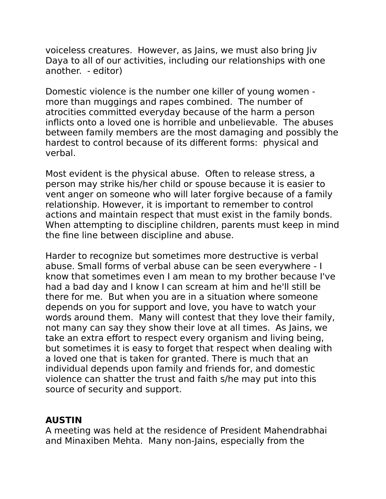voiceless creatures. However, as Jains, we must also bring Jiv Daya to all of our activities, including our relationships with one another. - editor)

Domestic violence is the number one killer of young women more than muggings and rapes combined. The number of atrocities committed everyday because of the harm a person inflicts onto a loved one is horrible and unbelievable. The abuses between family members are the most damaging and possibly the hardest to control because of its different forms: physical and verbal.

Most evident is the physical abuse. Often to release stress, a person may strike his/her child or spouse because it is easier to vent anger on someone who will later forgive because of a family relationship. However, it is important to remember to control actions and maintain respect that must exist in the family bonds. When attempting to discipline children, parents must keep in mind the fine line between discipline and abuse.

Harder to recognize but sometimes more destructive is verbal abuse. Small forms of verbal abuse can be seen everywhere - I know that sometimes even I am mean to my brother because I've had a bad day and I know I can scream at him and he'll still be there for me. But when you are in a situation where someone depends on you for support and love, you have to watch your words around them. Many will contest that they love their family, not many can say they show their love at all times. As Jains, we take an extra effort to respect every organism and living being, but sometimes it is easy to forget that respect when dealing with a loved one that is taken for granted. There is much that an individual depends upon family and friends for, and domestic violence can shatter the trust and faith s/he may put into this source of security and support.

## **AUSTIN**

A meeting was held at the residence of President Mahendrabhai and Minaxiben Mehta. Many non-Jains, especially from the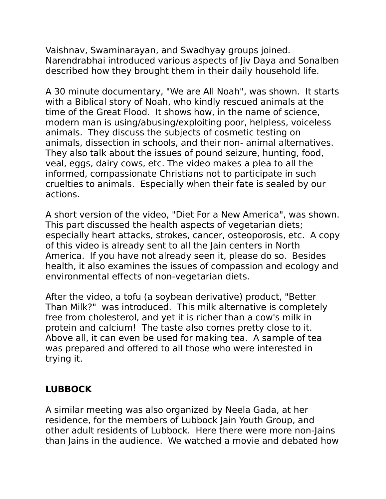Vaishnav, Swaminarayan, and Swadhyay groups joined. Narendrabhai introduced various aspects of Jiv Daya and Sonalben described how they brought them in their daily household life.

A 30 minute documentary, "We are All Noah", was shown. It starts with a Biblical story of Noah, who kindly rescued animals at the time of the Great Flood. It shows how, in the name of science, modern man is using/abusing/exploiting poor, helpless, voiceless animals. They discuss the subjects of cosmetic testing on animals, dissection in schools, and their non- animal alternatives. They also talk about the issues of pound seizure, hunting, food, veal, eggs, dairy cows, etc. The video makes a plea to all the informed, compassionate Christians not to participate in such cruelties to animals. Especially when their fate is sealed by our actions.

A short version of the video, "Diet For a New America", was shown. This part discussed the health aspects of vegetarian diets; especially heart attacks, strokes, cancer, osteoporosis, etc. A copy of this video is already sent to all the Jain centers in North America. If you have not already seen it, please do so. Besides health, it also examines the issues of compassion and ecology and environmental effects of non-vegetarian diets.

After the video, a tofu (a soybean derivative) product, "Better Than Milk?" was introduced. This milk alternative is completely free from cholesterol, and yet it is richer than a cow's milk in protein and calcium! The taste also comes pretty close to it. Above all, it can even be used for making tea. A sample of tea was prepared and offered to all those who were interested in trying it.

# **LUBBOCK**

A similar meeting was also organized by Neela Gada, at her residence, for the members of Lubbock Jain Youth Group, and other adult residents of Lubbock. Here there were more non-Jains than Jains in the audience. We watched a movie and debated how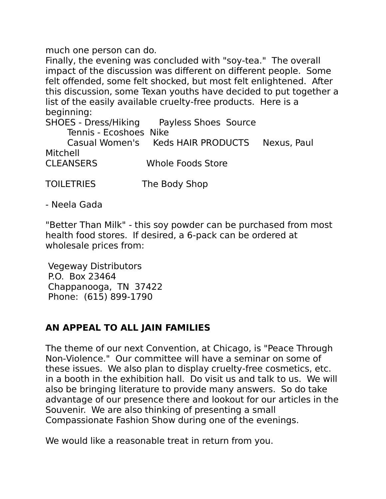much one person can do.

Finally, the evening was concluded with "soy-tea." The overall impact of the discussion was different on different people. Some felt offended, some felt shocked, but most felt enlightened. After this discussion, some Texan youths have decided to put together a list of the easily available cruelty-free products. Here is a beginning:

SHOES - Dress/Hiking Payless Shoes Source

Tennis - Ecoshoes Nike

 Casual Women's Keds HAIR PRODUCTS Nexus, Paul Mitchell CLEANSERS Whole Foods Store

TOILETRIES The Body Shop

- Neela Gada

"Better Than Milk" - this soy powder can be purchased from most health food stores. If desired, a 6-pack can be ordered at wholesale prices from:

Vegeway Distributors P.O. Box 23464 Chappanooga, TN 37422 Phone: (615) 899-1790

#### **AN APPEAL TO ALL JAIN FAMILIES**

The theme of our next Convention, at Chicago, is "Peace Through Non-Violence." Our committee will have a seminar on some of these issues. We also plan to display cruelty-free cosmetics, etc. in a booth in the exhibition hall. Do visit us and talk to us. We will also be bringing literature to provide many answers. So do take advantage of our presence there and lookout for our articles in the Souvenir. We are also thinking of presenting a small Compassionate Fashion Show during one of the evenings.

We would like a reasonable treat in return from you.